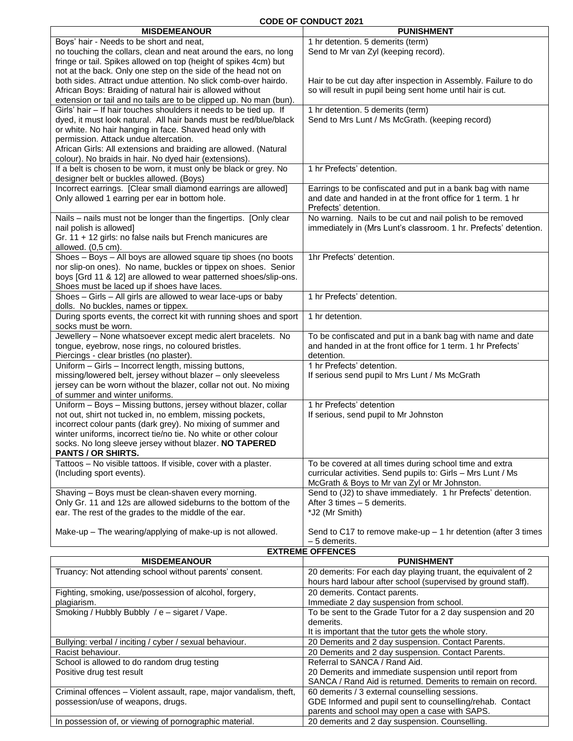| <b>MISDEMEANOUR</b>                                                                                                                      | <b>PUNISHMENT</b>                                                                                                         |
|------------------------------------------------------------------------------------------------------------------------------------------|---------------------------------------------------------------------------------------------------------------------------|
| Boys' hair - Needs to be short and neat,                                                                                                 | 1 hr detention. 5 demerits (term)                                                                                         |
| no touching the collars, clean and neat around the ears, no long                                                                         | Send to Mr van Zyl (keeping record).                                                                                      |
| fringe or tail. Spikes allowed on top (height of spikes 4cm) but                                                                         |                                                                                                                           |
| not at the back. Only one step on the side of the head not on                                                                            |                                                                                                                           |
| both sides. Attract undue attention. No slick comb-over hairdo.                                                                          | Hair to be cut day after inspection in Assembly. Failure to do                                                            |
| African Boys: Braiding of natural hair is allowed without                                                                                | so will result in pupil being sent home until hair is cut.                                                                |
| extension or tail and no tails are to be clipped up. No man (bun).<br>Girls' hair - If hair touches shoulders it needs to be tied up. If | 1 hr detention. 5 demerits (term)                                                                                         |
| dyed, it must look natural. All hair bands must be red/blue/black                                                                        | Send to Mrs Lunt / Ms McGrath. (keeping record)                                                                           |
| or white. No hair hanging in face. Shaved head only with                                                                                 |                                                                                                                           |
| permission. Attack undue altercation.                                                                                                    |                                                                                                                           |
| African Girls: All extensions and braiding are allowed. (Natural                                                                         |                                                                                                                           |
| colour). No braids in hair. No dyed hair (extensions).                                                                                   |                                                                                                                           |
| If a belt is chosen to be worn, it must only be black or grey. No                                                                        | 1 hr Prefects' detention.                                                                                                 |
| designer belt or buckles allowed. (Boys)                                                                                                 |                                                                                                                           |
| Incorrect earrings. [Clear small diamond earrings are allowed]<br>Only allowed 1 earring per ear in bottom hole.                         | Earrings to be confiscated and put in a bank bag with name<br>and date and handed in at the front office for 1 term. 1 hr |
|                                                                                                                                          | Prefects' detention.                                                                                                      |
| Nails - nails must not be longer than the fingertips. [Only clear                                                                        | No warning. Nails to be cut and nail polish to be removed                                                                 |
| nail polish is allowed]                                                                                                                  | immediately in (Mrs Lunt's classroom. 1 hr. Prefects' detention.                                                          |
| Gr. 11 + 12 girls: no false nails but French manicures are                                                                               |                                                                                                                           |
| allowed. (0,5 cm).                                                                                                                       |                                                                                                                           |
| Shoes - Boys - All boys are allowed square tip shoes (no boots                                                                           | 1hr Prefects' detention.                                                                                                  |
| nor slip-on ones). No name, buckles or tippex on shoes. Senior                                                                           |                                                                                                                           |
| boys [Grd 11 & 12] are allowed to wear patterned shoes/slip-ons.                                                                         |                                                                                                                           |
| Shoes must be laced up if shoes have laces.<br>Shoes - Girls - All girls are allowed to wear lace-ups or baby                            | 1 hr Prefects' detention.                                                                                                 |
| dolls. No buckles, names or tippex.                                                                                                      |                                                                                                                           |
| During sports events, the correct kit with running shoes and sport                                                                       | 1 hr detention.                                                                                                           |
| socks must be worn.                                                                                                                      |                                                                                                                           |
| Jewellery - None whatsoever except medic alert bracelets. No                                                                             | To be confiscated and put in a bank bag with name and date                                                                |
| tongue, eyebrow, nose rings, no coloured bristles.                                                                                       | and handed in at the front office for 1 term. 1 hr Prefects'                                                              |
| Piercings - clear bristles (no plaster).                                                                                                 | detention.                                                                                                                |
| Uniform - Girls - Incorrect length, missing buttons,                                                                                     | 1 hr Prefects' detention.                                                                                                 |
| missing/lowered belt, jersey without blazer - only sleeveless<br>jersey can be worn without the blazer, collar not out. No mixing        | If serious send pupil to Mrs Lunt / Ms McGrath                                                                            |
| of summer and winter uniforms.                                                                                                           |                                                                                                                           |
| Uniform - Boys - Missing buttons, jersey without blazer, collar                                                                          | 1 hr Prefects' detention                                                                                                  |
| not out, shirt not tucked in, no emblem, missing pockets,                                                                                | If serious, send pupil to Mr Johnston                                                                                     |
| incorrect colour pants (dark grey). No mixing of summer and                                                                              |                                                                                                                           |
| winter uniforms, incorrect tie/no tie. No white or other colour                                                                          |                                                                                                                           |
| socks. No long sleeve jersey without blazer. NO TAPERED                                                                                  |                                                                                                                           |
| PANTS / OR SHIRTS.<br>Tattoos - No visible tattoos. If visible, cover with a plaster.                                                    | To be covered at all times during school time and extra                                                                   |
| (Including sport events).                                                                                                                | curricular activities. Send pupils to: Girls - Mrs Lunt / Ms                                                              |
|                                                                                                                                          | McGrath & Boys to Mr van Zyl or Mr Johnston.                                                                              |
| Shaving - Boys must be clean-shaven every morning.                                                                                       | Send to (J2) to shave immediately. 1 hr Prefects' detention.                                                              |
| Only Gr. 11 and 12s are allowed sideburns to the bottom of the                                                                           | After 3 times - 5 demerits.                                                                                               |
| ear. The rest of the grades to the middle of the ear.                                                                                    | *J2 (Mr Smith)                                                                                                            |
|                                                                                                                                          |                                                                                                                           |
| Make-up – The wearing/applying of make-up is not allowed.                                                                                | Send to C17 to remove make-up $-1$ hr detention (after 3 times                                                            |
|                                                                                                                                          | - 5 demerits.<br><b>EXTREME OFFENCES</b>                                                                                  |
| <b>MISDEMEANOUR</b>                                                                                                                      | <b>PUNISHMENT</b>                                                                                                         |
| Truancy: Not attending school without parents' consent.                                                                                  | 20 demerits: For each day playing truant, the equivalent of 2                                                             |
|                                                                                                                                          | hours hard labour after school (supervised by ground staff).                                                              |
| Fighting, smoking, use/possession of alcohol, forgery,                                                                                   | 20 demerits. Contact parents.                                                                                             |
| plagiarism.                                                                                                                              | Immediate 2 day suspension from school.                                                                                   |
| Smoking / Hubbly Bubbly / e - sigaret / Vape.                                                                                            | To be sent to the Grade Tutor for a 2 day suspension and 20                                                               |
|                                                                                                                                          | demerits.                                                                                                                 |
|                                                                                                                                          | It is important that the tutor gets the whole story.                                                                      |
| Bullying: verbal / inciting / cyber / sexual behaviour.                                                                                  | 20 Demerits and 2 day suspension. Contact Parents.                                                                        |
| Racist behaviour.                                                                                                                        | 20 Demerits and 2 day suspension. Contact Parents.<br>Referral to SANCA / Rand Aid.                                       |
| School is allowed to do random drug testing<br>Positive drug test result                                                                 | 20 Demerits and immediate suspension until report from                                                                    |
|                                                                                                                                          | SANCA / Rand Aid is returned. Demerits to remain on record.                                                               |
| Criminal offences - Violent assault, rape, major vandalism, theft,                                                                       | 60 demerits / 3 external counselling sessions.                                                                            |
| possession/use of weapons, drugs.                                                                                                        | GDE Informed and pupil sent to counselling/rehab. Contact                                                                 |
|                                                                                                                                          | parents and school may open a case with SAPS.                                                                             |
| In possession of, or viewing of pornographic material.                                                                                   | 20 demerits and 2 day suspension. Counselling.                                                                            |